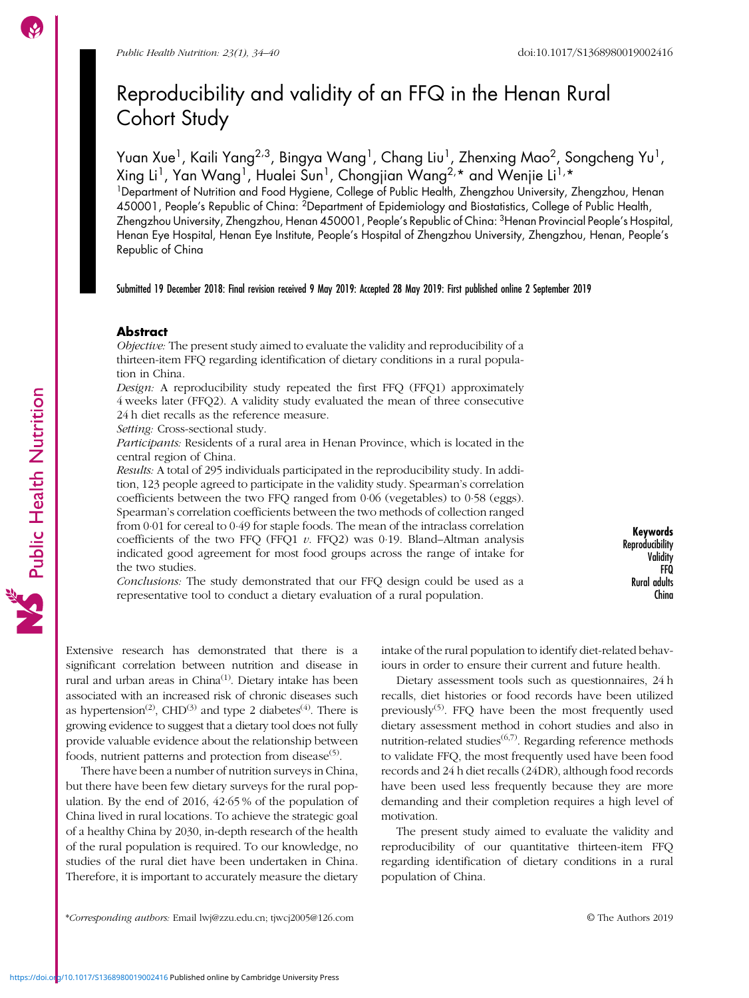# Reproducibility and validity of an FFQ in the Henan Rural Cohort Study

Yuan Xue<sup>1</sup>, Kaili Yang<sup>2,3</sup>, Bingya Wang<sup>1</sup>, Chang Liu<sup>1</sup>, Zhenxing Mao<sup>2</sup>, Songcheng Yu<sup>1</sup>, Xing Li<sup>1</sup>, Yan Wang<sup>1</sup>, Hualei Sun<sup>1</sup>, Chongjian Wang<sup>2,\*</sup> and Wenjie Li<sup>1,\*</sup>

<sup>1</sup>Department of Nutrition and Food Hygiene, College of Public Health, Zhengzhou University, Zhengzhou, Henan 450001, People's Republic of China: 2Department of Epidemiology and Biostatistics, College of Public Health, Zhengzhou University, Zhengzhou, Henan 450001, People's Republic of China: 3Henan Provincial People's Hospital, Henan Eye Hospital, Henan Eye Institute, People's Hospital of Zhengzhou University, Zhengzhou, Henan, People's Republic of China

Submitted 19 December 2018: Final revision received 9 May 2019: Accepted 28 May 2019: First published online 2 September 2019

# **Abstract**

Objective: The present study aimed to evaluate the validity and reproducibility of a thirteen-item FFQ regarding identification of dietary conditions in a rural population in China.

Design: A reproducibility study repeated the first FFQ (FFQ1) approximately 4 weeks later (FFQ2). A validity study evaluated the mean of three consecutive 24 h diet recalls as the reference measure.

Setting: Cross-sectional study.

Participants: Residents of a rural area in Henan Province, which is located in the central region of China.

Results: A total of 295 individuals participated in the reproducibility study. In addition, 123 people agreed to participate in the validity study. Spearman's correlation coefficients between the two FFQ ranged from 0·06 (vegetables) to 0·58 (eggs). Spearman's correlation coefficients between the two methods of collection ranged from 0·01 for cereal to 0·49 for staple foods. The mean of the intraclass correlation coefficients of the two FFQ (FFQ1  $v$ . FFQ2) was 0.19. Bland–Altman analysis indicated good agreement for most food groups across the range of intake for the two studies.

Conclusions: The study demonstrated that our FFQ design could be used as a representative tool to conduct a dietary evaluation of a rural population.

Keywords Reproducibility **Validity** FFQ Rural adults China

Extensive research has demonstrated that there is a significant correlation between nutrition and disease in rural and urban areas in China<sup>[\(1](#page-5-0))</sup>. Dietary intake has been associated with an increased risk of chronic diseases such as hypertension<sup>([2](#page-5-0))</sup>, CHD<sup>([3](#page-5-0))</sup> and type 2 diabetes<sup>[\(4\)](#page-5-0)</sup>. There is growing evidence to suggest that a dietary tool does not fully provide valuable evidence about the relationship between foods, nutrient patterns and protection from disease<sup> $(5)$ </sup>.

There have been a number of nutrition surveys in China, but there have been few dietary surveys for the rural population. By the end of 2016, 42·65 % of the population of China lived in rural locations. To achieve the strategic goal of a healthy China by 2030, in-depth research of the health of the rural population is required. To our knowledge, no studies of the rural diet have been undertaken in China. Therefore, it is important to accurately measure the dietary intake of the rural population to identify diet-related behaviours in order to ensure their current and future health.

Dietary assessment tools such as questionnaires, 24 h recalls, diet histories or food records have been utilized previously<sup> $(5)$  $(5)$ </sup>. FFO have been the most frequently used dietary assessment method in cohort studies and also in nutrition-related studies $^{(6,7)}$  $^{(6,7)}$  $^{(6,7)}$  $^{(6,7)}$  $^{(6,7)}$ . Regarding reference methods to validate FFQ, the most frequently used have been food records and 24 h diet recalls (24DR), although food records have been used less frequently because they are more demanding and their completion requires a high level of motivation.

The present study aimed to evaluate the validity and reproducibility of our quantitative thirteen-item FFQ regarding identification of dietary conditions in a rural population of China.

\*Corresponding authors: Email [lwj@zzu.edu.cn;](mailto:lwj@zzu.edu.cn) [tjwcj2005@126.com](mailto:tjwcj2005@126.com) © The Authors 2019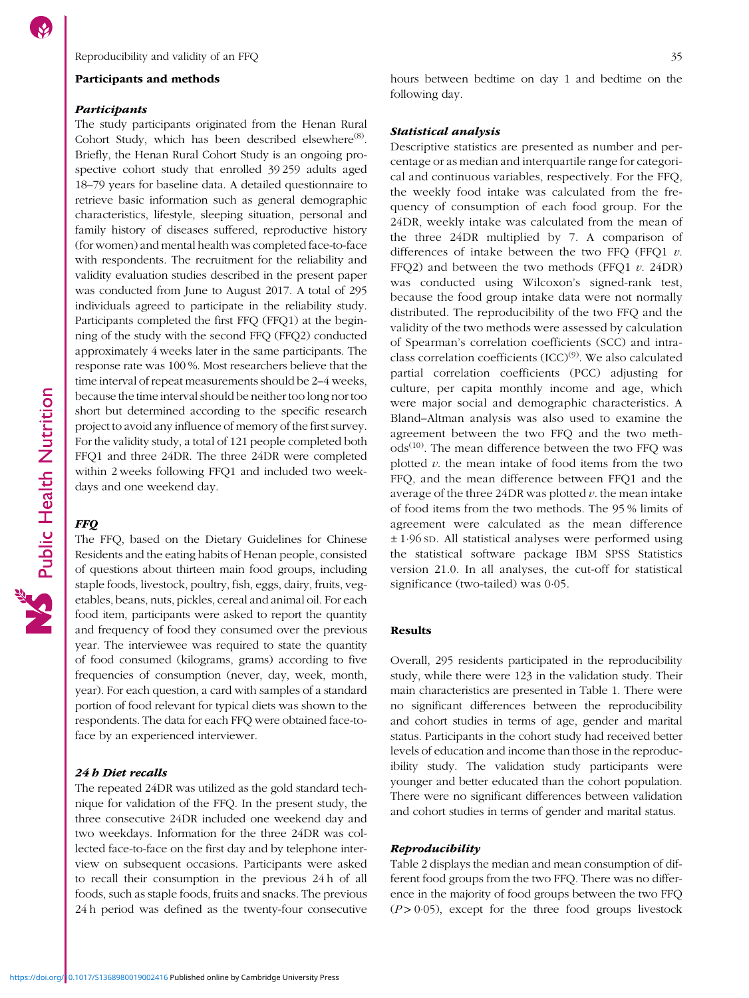## Participants and methods

#### Participants

The study participants originated from the Henan Rural Cohort Study, which has been described elsewhere<sup>([8](#page-6-0))</sup>. Briefly, the Henan Rural Cohort Study is an ongoing prospective cohort study that enrolled 39 259 adults aged 18–79 years for baseline data. A detailed questionnaire to retrieve basic information such as general demographic characteristics, lifestyle, sleeping situation, personal and family history of diseases suffered, reproductive history (for women) and mental health was completed face-to-face with respondents. The recruitment for the reliability and validity evaluation studies described in the present paper was conducted from June to August 2017. A total of 295 individuals agreed to participate in the reliability study. Participants completed the first FFQ (FFQ1) at the beginning of the study with the second FFQ (FFQ2) conducted approximately 4 weeks later in the same participants. The response rate was 100 %. Most researchers believe that the time interval of repeat measurements should be 2–4 weeks, because the time interval should be neither too long nor too short but determined according to the specific research project to avoid any influence of memory of the first survey. For the validity study, a total of 121 people completed both FFQ1 and three 24DR. The three 24DR were completed within 2 weeks following FFQ1 and included two weekdays and one weekend day.

# **FFO**

Public Health Nutrition

The FFQ, based on the Dietary Guidelines for Chinese Residents and the eating habits of Henan people, consisted of questions about thirteen main food groups, including staple foods, livestock, poultry, fish, eggs, dairy, fruits, vegetables, beans, nuts, pickles, cereal and animal oil. For each food item, participants were asked to report the quantity and frequency of food they consumed over the previous year. The interviewee was required to state the quantity of food consumed (kilograms, grams) according to five frequencies of consumption (never, day, week, month, year). For each question, a card with samples of a standard portion of food relevant for typical diets was shown to the respondents. The data for each FFQ were obtained face-toface by an experienced interviewer.

#### 24 h Diet recalls

The repeated 24DR was utilized as the gold standard technique for validation of the FFQ. In the present study, the three consecutive 24DR included one weekend day and two weekdays. Information for the three 24DR was collected face-to-face on the first day and by telephone interview on subsequent occasions. Participants were asked to recall their consumption in the previous 24 h of all foods, such as staple foods, fruits and snacks. The previous 24 h period was defined as the twenty-four consecutive hours between bedtime on day 1 and bedtime on the following day.

#### Statistical analysis

Descriptive statistics are presented as number and percentage or as median and interquartile range for categorical and continuous variables, respectively. For the FFQ, the weekly food intake was calculated from the frequency of consumption of each food group. For the 24DR, weekly intake was calculated from the mean of the three 24DR multiplied by 7. A comparison of differences of intake between the two FFQ (FFQ1  $v$ . FFQ2) and between the two methods (FFQ1  $v$ . 24DR) was conducted using Wilcoxon's signed-rank test, because the food group intake data were not normally distributed. The reproducibility of the two FFQ and the validity of the two methods were assessed by calculation of Spearman's correlation coefficients (SCC) and intraclass correlation coefficients  $(ICC)^{(9)}$  $(ICC)^{(9)}$  $(ICC)^{(9)}$ . We also calculated partial correlation coefficients (PCC) adjusting for culture, per capita monthly income and age, which were major social and demographic characteristics. A Bland–Altman analysis was also used to examine the agreement between the two FFQ and the two meth- $\text{ods}^{(10)}$  $\text{ods}^{(10)}$  $\text{ods}^{(10)}$ . The mean difference between the two FFQ was plotted  $v$ . the mean intake of food items from the two FFQ, and the mean difference between FFQ1 and the average of the three  $24DR$  was plotted  $v$ . the mean intake of food items from the two methods. The 95 % limits of agreement were calculated as the mean difference ± 1·96 SD. All statistical analyses were performed using the statistical software package IBM SPSS Statistics version 21.0. In all analyses, the cut-off for statistical significance (two-tailed) was 0·05.

# Results

Overall, 295 residents participated in the reproducibility study, while there were 123 in the validation study. Their main characteristics are presented in Table [1](#page-2-0). There were no significant differences between the reproducibility and cohort studies in terms of age, gender and marital status. Participants in the cohort study had received better levels of education and income than those in the reproducibility study. The validation study participants were younger and better educated than the cohort population. There were no significant differences between validation and cohort studies in terms of gender and marital status.

# Reproducibility

Table [2](#page-3-0) displays the median and mean consumption of different food groups from the two FFQ. There was no difference in the majority of food groups between the two FFQ  $(P > 0.05)$ , except for the three food groups livestock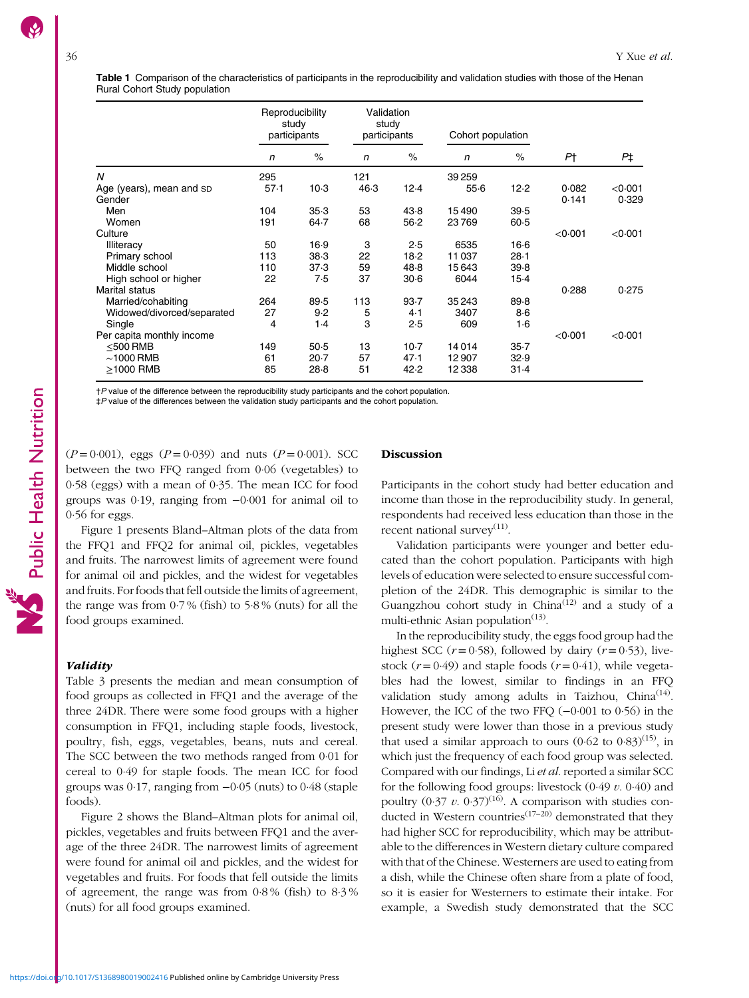<span id="page-2-0"></span>Table 1 Comparison of the characteristics of participants in the reproducibility and validation studies with those of the Henan Rural Cohort Study population

|                            | Reproducibility<br>study<br>participants |          | Validation<br>study<br>participants |        | Cohort population |          |         |         |
|----------------------------|------------------------------------------|----------|-------------------------------------|--------|-------------------|----------|---------|---------|
|                            | n                                        | $\%$     | $\mathsf{n}$                        | $\%$   | n                 | $\%$     | Ρt      | P‡      |
| N                          | 295                                      |          | 121                                 |        | 39 259            |          |         |         |
| Age (years), mean and SD   | 57.1                                     | $10-3$   | 46.3                                | 12.4   | $55-6$            | 12.2     | 0.082   | < 0.001 |
| Gender                     |                                          |          |                                     |        |                   |          | 0.141   | 0.329   |
| Men                        | 104                                      | 35.3     | 53                                  | 43.8   | 15490             | 39.5     |         |         |
| Women                      | 191                                      | $64 - 7$ | 68                                  | 56.2   | 23769             | $60-5$   |         |         |
| Culture                    |                                          |          |                                     |        |                   |          | < 0.001 | < 0.001 |
| Illiteracy                 | 50                                       | 16.9     | 3                                   | 2.5    | 6535              | $16-6$   |         |         |
| Primary school             | 113                                      | 38.3     | 22                                  | 18.2   | 11037             | $28-1$   |         |         |
| Middle school              | 110                                      | 37.3     | 59                                  | 48.8   | 15643             | 39.8     |         |         |
| High school or higher      | 22                                       | 7.5      | 37                                  | $30-6$ | 6044              | $15-4$   |         |         |
| <b>Marital status</b>      |                                          |          |                                     |        |                   |          | 0.288   | 0.275   |
| Married/cohabiting         | 264                                      | 89.5     | 113                                 | 93.7   | 35 243            | 89.8     |         |         |
| Widowed/divorced/separated | 27                                       | 9.2      | 5                                   | 4.1    | 3407              | $8-6$    |         |         |
| Single                     | 4                                        | $1-4$    | 3                                   | 2.5    | 609               | 1·6      |         |         |
| Per capita monthly income  |                                          |          |                                     |        |                   |          | < 0.001 | < 0.001 |
| $<$ 500 RMB                | 149                                      | 50.5     | 13                                  | $10-7$ | 14014             | $35 - 7$ |         |         |
| $\sim$ 1000 RMB            | 61                                       | 20.7     | 57                                  | 47.1   | 12907             | 32.9     |         |         |
| $\geq$ 1000 RMB            | 85                                       | 28.8     | 51                                  | 42.2   | 12338             | 31.4     |         |         |

†P value of the difference between the reproducibility study participants and the cohort population.

‡P value of the differences between the validation study participants and the cohort population.

 $(P=0.001)$ , eggs  $(P=0.039)$  and nuts  $(P=0.001)$ . SCC between the two FFQ ranged from 0·06 (vegetables) to 0·58 (eggs) with a mean of 0·35. The mean ICC for food groups was 0·19, ranging from −0·001 for animal oil to 0·56 for eggs.

Figure [1](#page-4-0) presents Bland–Altman plots of the data from the FFQ1 and FFQ2 for animal oil, pickles, vegetables and fruits. The narrowest limits of agreement were found for animal oil and pickles, and the widest for vegetables and fruits. For foods that fell outside the limits of agreement, the range was from 0·7 % (fish) to 5·8 % (nuts) for all the food groups examined.

# Validity

Table [3](#page-3-0) presents the median and mean consumption of food groups as collected in FFQ1 and the average of the three 24DR. There were some food groups with a higher consumption in FFQ1, including staple foods, livestock, poultry, fish, eggs, vegetables, beans, nuts and cereal. The SCC between the two methods ranged from 0·01 for cereal to 0·49 for staple foods. The mean ICC for food groups was 0·17, ranging from −0·05 (nuts) to 0·48 (staple foods).

Figure [2](#page-4-0) shows the Bland–Altman plots for animal oil, pickles, vegetables and fruits between FFQ1 and the average of the three 24DR. The narrowest limits of agreement were found for animal oil and pickles, and the widest for vegetables and fruits. For foods that fell outside the limits of agreement, the range was from 0·8 % (fish) to 8·3 % (nuts) for all food groups examined.

## Discussion

Participants in the cohort study had better education and income than those in the reproducibility study. In general, respondents had received less education than those in the recent national survey $(11)$  $(11)$  $(11)$ .

Validation participants were younger and better educated than the cohort population. Participants with high levels of education were selected to ensure successful completion of the 24DR. This demographic is similar to the Guangzhou cohort study in China([12](#page-6-0)) and a study of a multi-ethnic Asian population $(13)$  $(13)$ .

In the reproducibility study, the eggs food group had the highest SCC ( $r = 0.58$ ), followed by dairy ( $r = 0.53$ ), livestock ( $r = 0.49$ ) and staple foods ( $r = 0.41$ ), while vegetables had the lowest, similar to findings in an FFQ validation study among adults in Taizhou, China<sup>[\(14\)](#page-6-0)</sup>. However, the ICC of the two FFQ (−0·001 to 0·56) in the present study were lower than those in a previous study that used a similar approach to ours  $(0.62 \text{ to } 0.83)^{(15)}$  $(0.62 \text{ to } 0.83)^{(15)}$  $(0.62 \text{ to } 0.83)^{(15)}$ , in which just the frequency of each food group was selected. Compared with our findings, Li et al. reported a similar SCC for the following food groups: livestock  $(0.49 v. 0.40)$  and poultry  $(0.37 \, \nu. \, 0.37)^{(16)}$  $(0.37 \, \nu. \, 0.37)^{(16)}$  $(0.37 \, \nu. \, 0.37)^{(16)}$ . A comparison with studies conducted in Western countries<sup> $(17-20)$  $(17-20)$  $(17-20)$  $(17-20)$ </sup> demonstrated that they had higher SCC for reproducibility, which may be attributable to the differences in Western dietary culture compared with that of the Chinese. Westerners are used to eating from a dish, while the Chinese often share from a plate of food, so it is easier for Westerners to estimate their intake. For example, a Swedish study demonstrated that the SCC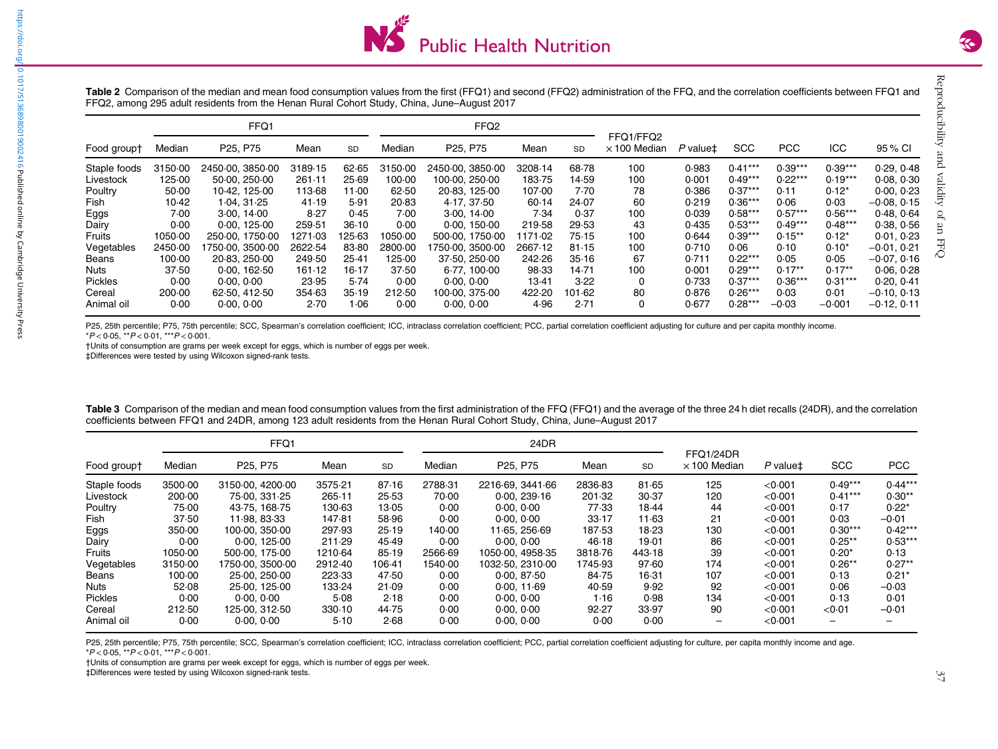

<span id="page-3-0"></span>

|                | FFQ1    |                                   |         |           | FFQ <sub>2</sub> |                                   |                 |           | FFQ1/FFQ2           |          |            |            |           |                 |
|----------------|---------|-----------------------------------|---------|-----------|------------------|-----------------------------------|-----------------|-----------|---------------------|----------|------------|------------|-----------|-----------------|
| Food group†    | Median  | P <sub>25</sub> , P <sub>75</sub> | Mean    | <b>SD</b> | Median           | P <sub>25</sub> , P <sub>75</sub> | Mean            | <b>SD</b> | $\times$ 100 Median | P value‡ | <b>SCC</b> | <b>PCC</b> | ICC.      | 95 % CI         |
| Staple foods   | 3150.00 | 2450.00, 3850.00                  | 3189-15 | 62.65     | 3150.00          | 2450.00, 3850.00                  | 3208-14         | 68.78     | 100                 | 0.983    | $0.41***$  | $0.39***$  | $0.39***$ | 0.29.0.48       |
| Livestock      | 125.00  | 50.00, 250.00                     | 261.11  | 25.69     | 100.00           | 100.00, 250.00                    | 183.75          | 14.59     | 100                 | 0.001    | $0.49***$  | $0.22***$  | $0.19***$ | 0.08, 0.30      |
| Poultry        | 50.00   | 10.42, 125.00                     | 113.68  | 11.00     | 62.50            | 20.83, 125.00                     | 107.00          | 7.70      | 78                  | 0.386    | $0.37***$  | 0.11       | $0.12*$   | 0.00, 0.23      |
| Fish           | 10.42   | 1.04.31.25                        | 41.19   | 5.91      | 20.83            | 4.17.37.50                        | 60.14           | 24.07     | 60                  | 0.219    | $0.36***$  | 0.06       | 0.03      | –0 $0.08, 0.15$ |
| Eggs           | 7.00    | 3.00, 14.00                       | 8.27    | 0.45      | 7.00             | 3.00, 14.00                       | 7.34            | 0.37      | 100                 | 0.039    | $0.58***$  | $0.57***$  | $0.56***$ | 0.48.064        |
| Dairy          | 0.00    | 0.00, 125.00                      | 259.51  | 36.10     | 0.00             | 0.00, 150.00                      | 219.58          | 29.53     | 43                  | 0.435    | $0.53***$  | $0.49***$  | $0.48***$ | 0.38, 0.56      |
| Fruits         | 1050.00 | 250.00. 1750.00                   | 1271.03 | 125.63    | 1050.00          | 500.00, 1750.00                   | 1171 $\cdot$ 02 | 75.15     | 100                 | 0.644    | $0.39***$  | $0.15***$  | $0.12*$   | 0.01, 0.23      |
| Vegetables     | 2450.00 | 1750-00.3500-00                   | 2622.54 | 83.80     | 2800.00          | 1750-00.3500-00                   | 2667.12         | 81.15     | 100                 | 0.710    | 0.06       | 0.10       | $0.10*$   | $-0.01, 0.21$   |
| Beans          | 100.00  | 20.83, 250.00                     | 249.50  | 25.41     | 125.00           | 37.50, 250.00                     | 242.26          | 35.16     | 67                  | 0.711    | $0.22***$  | 0.05       | 0.05      | $-0.07, 0.16$   |
| Nuts           | 37.50   | 0.00, 162.50                      | 161.12  | 16.17     | 37.50            | 6.77, 100.00                      | 98.33           | 14.71     | 100                 | 0.001    | $0.29***$  | $0.17**$   | $0.17**$  | 0.06, 0.28      |
| <b>Pickles</b> | 0.00    | 0.00, 0.00                        | 23.95   | 5.74      | 0.00             | 0.00, 0.00                        | 13.41           | 3.22      | 0                   | 0.733    | $0.37***$  | $0.36***$  | $0.31***$ | 0.20, 0.41      |
| Cereal         | 200.00  | 62.50, 412.50                     | 354.63  | 35.19     | 212.50           | 100.00. 375.00                    | 422.20          | 101.62    | 80                  | 0.876    | $0.26***$  | 0.03       | 0.01      | $-0.10, 0.13$   |
| Animal oil     | 0.00    | 0.00, 0.00                        | 2.70    | 1.06      | 0.00             | 0.00, 0.00                        | 4.96            | 2.71      | 0                   | 0.677    | $0.28***$  | $-0.03$    | $-0.001$  | $-0.12, 0.11$   |

P25, 25th percentile; P75, 75th percentile; SCC, Spearman's correlation coefficient; ICC, intraclass correlation coefficient; PCC, partial correlation coefficient adjusting for culture and per capita monthly income. \*P < 0·05, \*\*P <sup>&</sup>lt; 0·01, \*\*\*P <sup>&</sup>lt; 0·001.

†Units of consumption are grams per week except for eggs, which is number of eggs per week.

‡Differences were tested by using Wilcoxon signed-rank tests.

| Food groupt    |         | FFQ1                              |         |           |         | 24DR                              |         |           |                                  |                 |                          |           |
|----------------|---------|-----------------------------------|---------|-----------|---------|-----------------------------------|---------|-----------|----------------------------------|-----------------|--------------------------|-----------|
|                | Median  | P <sub>25</sub> , P <sub>75</sub> | Mean    | <b>SD</b> | Median  | P <sub>25</sub> , P <sub>75</sub> | Mean    | <b>SD</b> | FFQ1/24DR<br>$\times$ 100 Median | $P$ value $\pm$ | <b>SCC</b>               | PCC       |
| Staple foods   | 3500.00 | 3150.00, 4200.00                  | 3575.21 | 87.16     | 2788-31 | 2216.69, 3441.66                  | 2836.83 | 81.65     | 125                              | < 0.001         | $0.49***$                | $0.44***$ |
| Livestock      | 200.00  | 75.00, 331.25                     | 265.11  | 25.53     | 70.00   | 0.00, 239.16                      | 201.32  | 30.37     | 120                              | < 0.001         | $0.41***$                | $0.30**$  |
| Poultry        | 75.00   | 43.75, 168.75                     | 130.63  | 13.05     | 0.00    | 0.00, 0.00                        | 77.33   | 18.44     | 44                               | < 0.001         | 0.17                     | $0.22*$   |
| Fish           | 37.50   | 11.98, 83.33                      | 147.81  | 58.96     | 0.00    | 0.00, 0.00                        | 33.17   | 11.63     | 21                               | < 0.001         | 0.03                     | $-0.01$   |
| Eggs           | 350.00  | 100.00, 350.00                    | 297.93  | 25.19     | 140.00  | 11.65, 256.69                     | 187.53  | 18-23     | 130                              | < 0.001         | $0.30***$                | $0.42***$ |
| Dairy          | 0.00    | 0.00, 125.00                      | 211.29  | 45.49     | 0.00    | 0.00, 0.00                        | 46.18   | 19.01     | 86                               | < 0.001         | $0.25**$                 | $0.53***$ |
| Fruits         | 1050.00 | 500.00. 175.00                    | 1210-64 | 85.19     | 2566-69 | 1050.00. 4958.35                  | 3818.76 | 443.18    | 39                               | < 0.001         | $0.20*$                  | 0.13      |
| Vegetables     | 3150.00 | 1750.00.3500.00                   | 2912.40 | 106-41    | 1540.00 | 1032.50, 2310.00                  | 1745.93 | 97.60     | 174                              | < 0.001         | $0.26**$                 | $0.27**$  |
| Beans          | 100.00  | 25.00, 250.00                     | 223.33  | 47.50     | 0.00    | 0.00, 87.50                       | 84.75   | $16-31$   | 107                              | < 0.001         | 0.13                     | $0.21*$   |
| Nuts           | 52.08   | 25.00, 125.00                     | 133-24  | 21.09     | 0.00    | 0.00, 11.69                       | 40.59   | 9.92      | 92                               | < 0.001         | 0.06                     | $-0.03$   |
| <b>Pickles</b> | 0.00    | 0.00, 0.00                        | 5.08    | 2.18      | 0.00    | 0.00, 0.00                        | 1.16    | 0.98      | 134                              | < 0.001         | 0.13                     | 0.01      |
| Cereal         | 212.50  | 125.00, 312.50                    | 330.10  | 44.75     | 0.00    | 0.00, 0.00                        | 92.27   | 33.97     | 90                               | < 0.001         | < 0.01                   | $-0.01$   |
| Animal oil     | 0.00    | 0.00, 0.00                        | 5.10    | 2.68      | 0.00    | 0.00, 0.00                        | 0.00    | 0.00      | -                                | < 0.001         | $\overline{\phantom{0}}$ |           |

Table 3 Comparison of the median and mean food consumption values from the first administration of the FFQ (FFQ1) and the average of the three 24 h diet recalls (24DR), and the correlation coefficients between FFQ1 and 24DR, among 123 adult residents from the Henan Rural Cohort Study, China, June–August 2017

P25, 25th percentile; P75, 75th percentile; SCC, Spearman's correlation coefficient; ICC, intraclass correlation coefficient; PCC, partial correlation coefficient adjusting for culture, per capita monthly income and age. \*P < 0·05, \*\*P <sup>&</sup>lt; 0·01, \*\*\*P <sup>&</sup>lt; 0·001.

†Units of consumption are grams per week except for eggs, which is number of eggs per week.

‡Differences were tested by using Wilcoxon signed-rank tests.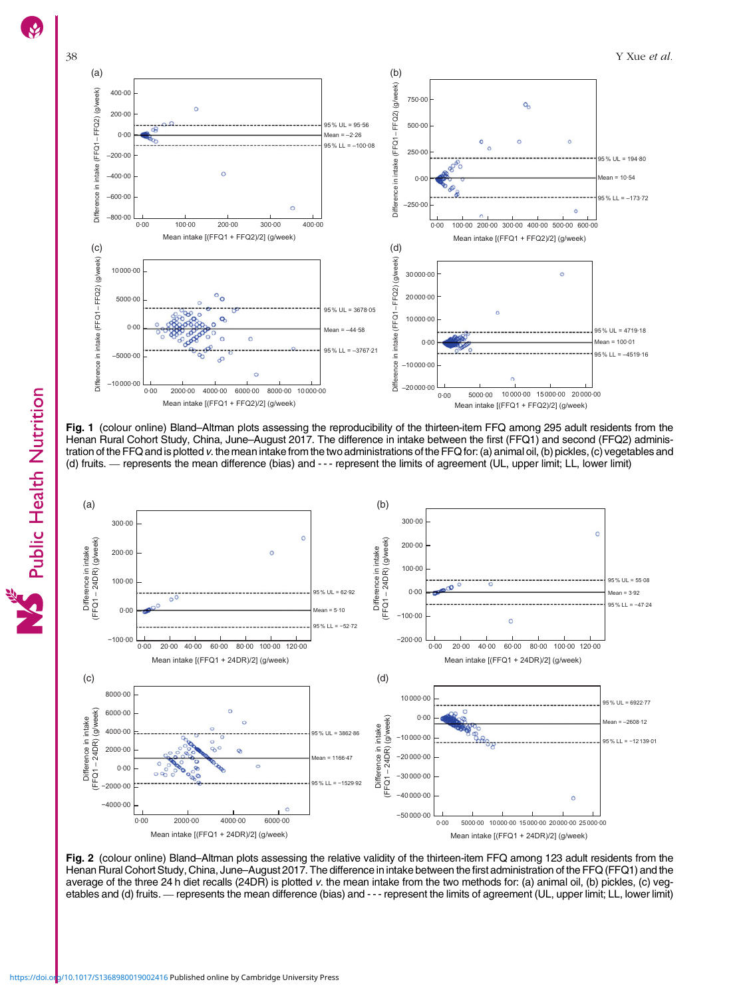<span id="page-4-0"></span>

Fig. 1 (colour online) Bland–Altman plots assessing the reproducibility of the thirteen-item FFQ among 295 adult residents from the Henan Rural Cohort Study, China, June–August 2017. The difference in intake between the first (FFQ1) and second (FFQ2) administration of the FFQ and is plotted v. the mean intake from the two administrations of the FFQ for: (a) animal oil, (b) pickles, (c) vegetables and (d) fruits. — represents the mean difference (bias) and --- represent the li Fig. 1 (colour online) Bland–Altman plots assessing the reproducibility of the thirteen-item FFQ among 295 adult residents<br>Henan Rural Cohort Study, China, June–August 2017. The difference in intake between the first (FFQ1



**Fig. 2** (colour online) Bland–Altman plots assessing the relative validity of the thirteen-item FFQ among 123 adult residents from the<br>Henan Rural Cohort Study, China, June–August 2017. The difference in intake between th average of the three 24 h diet recalls (24DR) is plotted v. the mean intake from the two methods for: (a) animal oil, (b) pickles, (c) veg-Fig. 2 (colour online) Bland–Altman plots assessing the relative validity of the thirteen-item FFQ among 123 adult residents from the<br>Henan Rural Cohort Study, China, June–August 2017. The difference in intake between the

Public Health Nutrition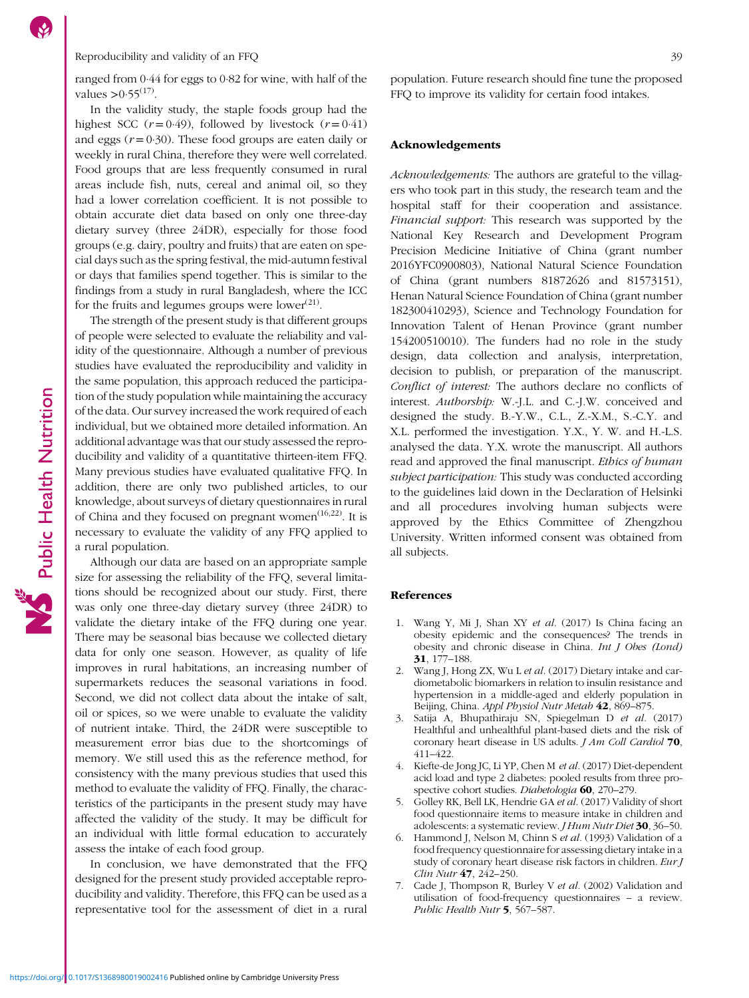Public Health Nutrition

## <span id="page-5-0"></span>Reproducibility and validity of an FFQ 39

ranged from 0·44 for eggs to 0·82 for wine, with half of the values  $> 0.55$ <sup>[\(17](#page-6-0))</sup>.

In the validity study, the staple foods group had the highest SCC  $(r=0.49)$ , followed by livestock  $(r=0.41)$ and eggs  $(r = 0.30)$ . These food groups are eaten daily or weekly in rural China, therefore they were well correlated. Food groups that are less frequently consumed in rural areas include fish, nuts, cereal and animal oil, so they had a lower correlation coefficient. It is not possible to obtain accurate diet data based on only one three-day dietary survey (three 24DR), especially for those food groups (e.g. dairy, poultry and fruits) that are eaten on special days such as the spring festival, the mid-autumn festival or days that families spend together. This is similar to the findings from a study in rural Bangladesh, where the ICC for the fruits and legumes groups were lower $(21)$  $(21)$ .

The strength of the present study is that different groups of people were selected to evaluate the reliability and validity of the questionnaire. Although a number of previous studies have evaluated the reproducibility and validity in the same population, this approach reduced the participation of the study population while maintaining the accuracy of the data. Our survey increased the work required of each individual, but we obtained more detailed information. An additional advantage was that our study assessed the reproducibility and validity of a quantitative thirteen-item FFQ. Many previous studies have evaluated qualitative FFQ. In addition, there are only two published articles, to our knowledge, about surveys of dietary questionnaires in rural of China and they focused on pregnant women $(16,22)$  $(16,22)$ . It is necessary to evaluate the validity of any FFQ applied to a rural population.

Although our data are based on an appropriate sample size for assessing the reliability of the FFQ, several limitations should be recognized about our study. First, there was only one three-day dietary survey (three 24DR) to validate the dietary intake of the FFQ during one year. There may be seasonal bias because we collected dietary data for only one season. However, as quality of life improves in rural habitations, an increasing number of supermarkets reduces the seasonal variations in food. Second, we did not collect data about the intake of salt, oil or spices, so we were unable to evaluate the validity of nutrient intake. Third, the 24DR were susceptible to measurement error bias due to the shortcomings of memory. We still used this as the reference method, for consistency with the many previous studies that used this method to evaluate the validity of FFQ. Finally, the characteristics of the participants in the present study may have affected the validity of the study. It may be difficult for an individual with little formal education to accurately assess the intake of each food group.

In conclusion, we have demonstrated that the FFQ designed for the present study provided acceptable reproducibility and validity. Therefore, this FFQ can be used as a representative tool for the assessment of diet in a rural population. Future research should fine tune the proposed FFQ to improve its validity for certain food intakes.

### Acknowledgements

Acknowledgements: The authors are grateful to the villagers who took part in this study, the research team and the hospital staff for their cooperation and assistance. Financial support: This research was supported by the National Key Research and Development Program Precision Medicine Initiative of China (grant number 2016YFC0900803), National Natural Science Foundation of China (grant numbers 81872626 and 81573151), Henan Natural Science Foundation of China (grant number 182300410293), Science and Technology Foundation for Innovation Talent of Henan Province (grant number 154200510010). The funders had no role in the study design, data collection and analysis, interpretation, decision to publish, or preparation of the manuscript. Conflict of interest: The authors declare no conflicts of interest. Authorship: W.-J.L. and C.-J.W. conceived and designed the study. B.-Y.W., C.L., Z.-X.M., S.-C.Y. and X.L. performed the investigation. Y.X., Y. W. and H.-L.S. analysed the data. Y.X. wrote the manuscript. All authors read and approved the final manuscript. Ethics of human subject participation: This study was conducted according to the guidelines laid down in the Declaration of Helsinki and all procedures involving human subjects were approved by the Ethics Committee of Zhengzhou University. Written informed consent was obtained from all subjects.

#### References

- 1. Wang Y, Mi J, Shan XY et al. (2017) Is China facing an obesity epidemic and the consequences? The trends in obesity and chronic disease in China. Int J Obes (Lond) 31, 177–188.
- 2. Wang J, Hong ZX, Wu L et al. (2017) Dietary intake and cardiometabolic biomarkers in relation to insulin resistance and hypertension in a middle-aged and elderly population in Beijing, China. Appl Physiol Nutr Metab 42, 869-875.
- 3. Satija A, Bhupathiraju SN, Spiegelman D et al. (2017) Healthful and unhealthful plant-based diets and the risk of coronary heart disease in US adults. J Am Coll Cardiol 70, 411–422.
- 4. Kiefte-de Jong JC, Li YP, Chen M et al. (2017) Diet-dependent acid load and type 2 diabetes: pooled results from three prospective cohort studies. Diabetologia 60, 270-279.
- 5. Golley RK, Bell LK, Hendrie GA et al. (2017) Validity of short food questionnaire items to measure intake in children and adolescents: a systematic review. J Hum Nutr Diet 30, 36–50.
- 6. Hammond J, Nelson M, Chinn S et al. (1993) Validation of a food frequency questionnaire for assessing dietary intake in a study of coronary heart disease risk factors in children. Eur J Clin Nutr 47, 242–250.
- 7. Cade J, Thompson R, Burley V et al. (2002) Validation and utilisation of food-frequency questionnaires – a review. Public Health Nutr 5, 567-587.